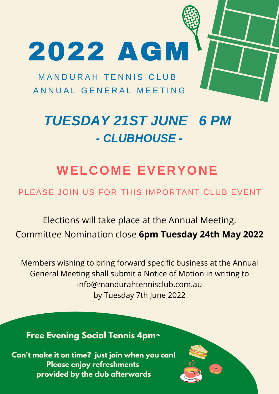### **WELCOME EVERYONE**

PLEASE JOIN US FOR THIS IMPORTANT CLUB EVENT

## *TUESDAY 21ST JUNE 6 PM - CLUBHOUSE -*

MANDURAH TENNIS CLUB A N N U A L G E N E R A L M E E T I N G

# 2022 AGM

Elections will take place at the Annual Meeting. Committee Nomination close **6pm Tuesday 24th May 2022**

Members wishing to bring forward specific business at the Annual General Meeting shall submit a Notice of Motion in writing to info@mandurahtennisclub.com.au by Tuesday 7th June 2022

#### **Free Evening Social Tennis 4pm~**

**Can't make it on time? just join when you can! Please enjoy refreshments provided by the club afterwards**